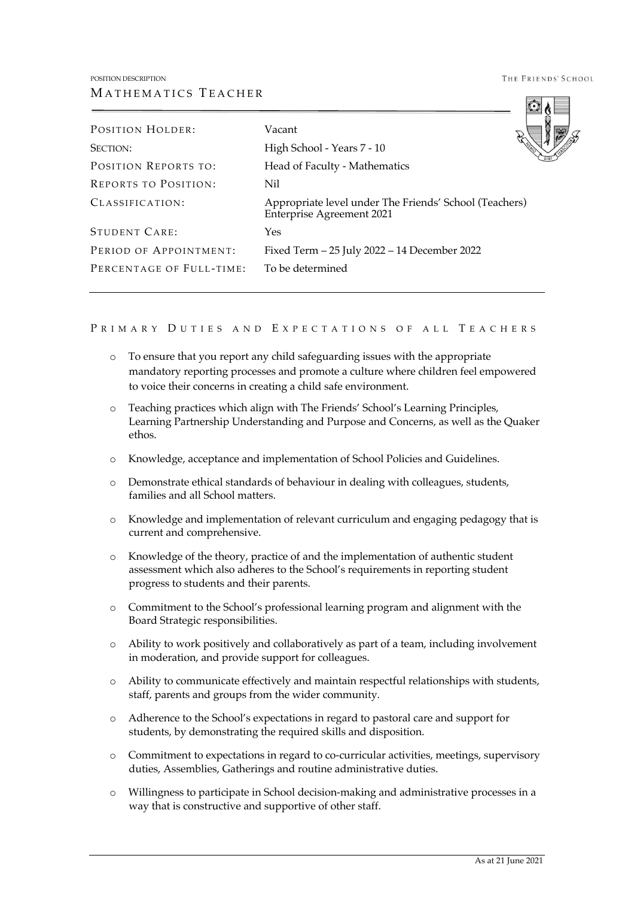THE FRIENDS' SCHOOL

| <b>POSITION HOLDER:</b>     | Vacant                                                                                     |
|-----------------------------|--------------------------------------------------------------------------------------------|
| <b>SECTION:</b>             | High School - Years 7 - 10                                                                 |
| <b>POSITION REPORTS TO:</b> | Head of Faculty - Mathematics                                                              |
| <b>REPORTS TO POSITION:</b> | Nil                                                                                        |
| CLASSIFICATION:             | Appropriate level under The Friends' School (Teachers)<br><b>Enterprise Agreement 2021</b> |
| STUDENT CARE:               | Yes                                                                                        |
| PERIOD OF APPOINTMENT:      | Fixed Term - 25 July 2022 - 14 December 2022                                               |
| PERCENTAGE OF FULL-TIME:    | To be determined                                                                           |
|                             |                                                                                            |

## PRIMARY DUTIES AND EXPECTATIONS OF ALL TEACHERS

- o To ensure that you report any child safeguarding issues with the appropriate mandatory reporting processes and promote a culture where children feel empowered to voice their concerns in creating a child safe environment.
- o Teaching practices which align with The Friends' School's Learning Principles, Learning Partnership Understanding and Purpose and Concerns, as well as the Quaker ethos.
- o Knowledge, acceptance and implementation of School Policies and Guidelines.
- o Demonstrate ethical standards of behaviour in dealing with colleagues, students, families and all School matters.
- o Knowledge and implementation of relevant curriculum and engaging pedagogy that is current and comprehensive.
- o Knowledge of the theory, practice of and the implementation of authentic student assessment which also adheres to the School's requirements in reporting student progress to students and their parents.
- o Commitment to the School's professional learning program and alignment with the Board Strategic responsibilities.
- o Ability to work positively and collaboratively as part of a team, including involvement in moderation, and provide support for colleagues.
- o Ability to communicate effectively and maintain respectful relationships with students, staff, parents and groups from the wider community.
- o Adherence to the School's expectations in regard to pastoral care and support for students, by demonstrating the required skills and disposition.
- o Commitment to expectations in regard to co-curricular activities, meetings, supervisory duties, Assemblies, Gatherings and routine administrative duties.
- o Willingness to participate in School decision-making and administrative processes in a way that is constructive and supportive of other staff.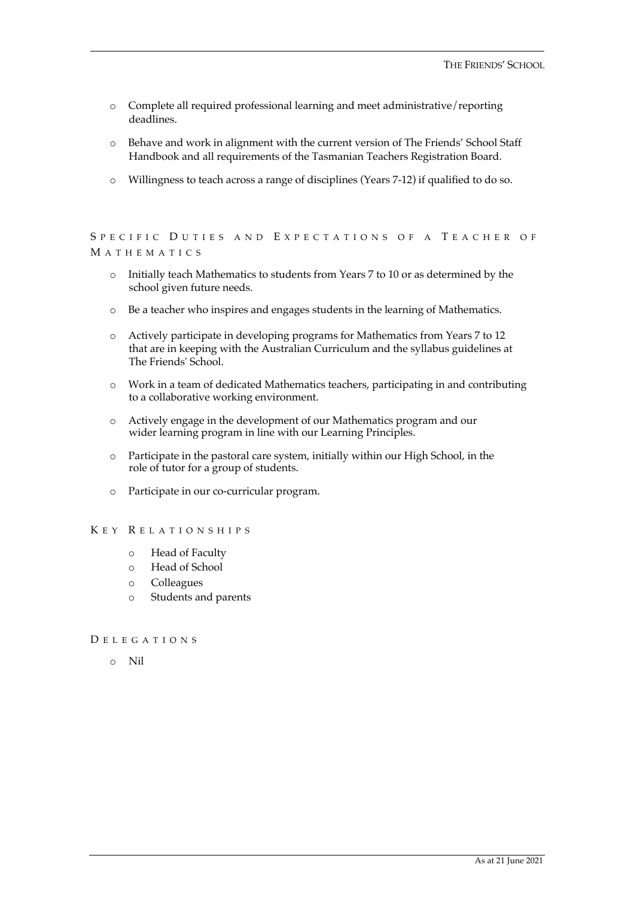- o Complete all required professional learning and meet administrative/reporting deadlines.
- o Behave and work in alignment with the current version of The Friends' School Staff Handbook and all requirements of the Tasmanian Teachers Registration Board.
- o Willingness to teach across a range of disciplines (Years 7-12) if qualified to do so.

# SPECIFIC DUTIES AND EXPECTATIONS OF A TEACHER OF M ATHEMATICS

- o Initially teach Mathematics to students from Years 7 to 10 or as determined by the school given future needs.
- o Be a teacher who inspires and engages students in the learning of Mathematics.
- o Actively participate in developing programs for Mathematics from Years 7 to 12 that are in keeping with the Australian Curriculum and the syllabus guidelines at The Friends' School.
- o Work in a team of dedicated Mathematics teachers, participating in and contributing to a collaborative working environment.
- o Actively engage in the development of our Mathematics program and our wider learning program in line with our Learning Principles.
- o Participate in the pastoral care system, initially within our High School, in the role of tutor for a group of students.
- o Participate in our co-curricular program.

### K EY R ELATIONSHIPS

- o Head of Faculty
- o Head of School
- o Colleagues
- o Students and parents

## D ELEGATIONS

o Nil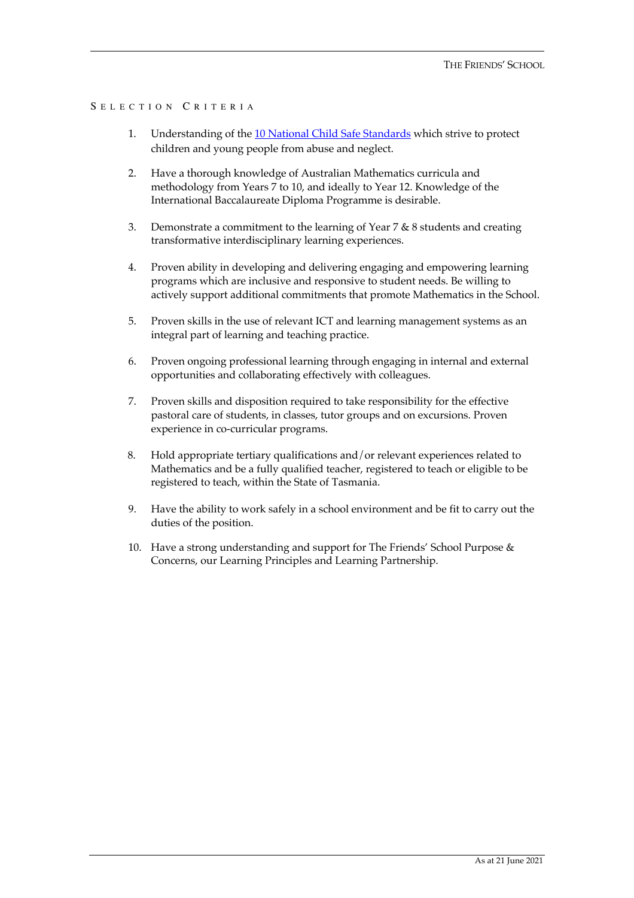# S ELECTION C RITERIA

- 1. Understanding of the 10 National Child Safe Standards which strive to protect children and young people from abuse and neglect.
- 2. Have a thorough knowledge of Australian Mathematics curricula and methodology from Years 7 to 10, and ideally to Year 12. Knowledge of the International Baccalaureate Diploma Programme is desirable.
- 3. Demonstrate a commitment to the learning of Year 7 & 8 students and creating transformative interdisciplinary learning experiences.
- 4. Proven ability in developing and delivering engaging and empowering learning programs which are inclusive and responsive to student needs. Be willing to actively support additional commitments that promote Mathematics in the School.
- 5. Proven skills in the use of relevant ICT and learning management systems as an integral part of learning and teaching practice.
- 6. Proven ongoing professional learning through engaging in internal and external opportunities and collaborating effectively with colleagues.
- 7. Proven skills and disposition required to take responsibility for the effective pastoral care of students, in classes, tutor groups and on excursions. Proven experience in co-curricular programs.
- 8. Hold appropriate tertiary qualifications and/or relevant experiences related to Mathematics and be a fully qualified teacher, registered to teach or eligible to be registered to teach, within the State of Tasmania.
- 9. Have the ability to work safely in a school environment and be fit to carry out the duties of the position.
- 10. Have a strong understanding and support for The Friends' School Purpose & Concerns, our Learning Principles and Learning Partnership.